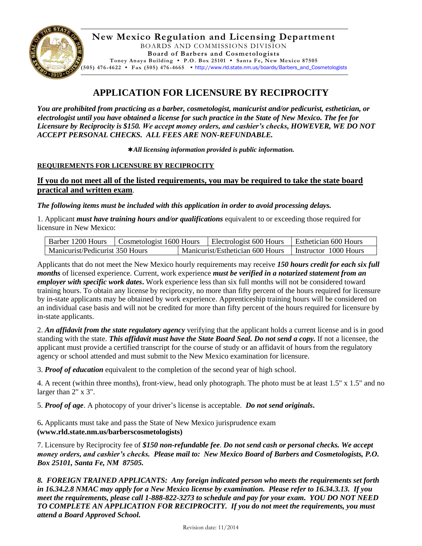

**New Mexico Regulation and Licensing Department** BOARDS AND COMMISSIONS DIVISION **Board of Barbers and Cosmetologists Toney Anaya Building ▪ P.O. Box 25101 ▪ Santa Fe, New Mexico 87505**

**(505) 476-4622 ▪ Fax (505) 476 -4665 ▪** [http://www.rld.state.nm.us/boards/Barbers\\_and\\_Cosmetologists](http://www.rld.state.nm.us/boards/Barbers_and_Cosmetologists)

# **APPLICATION FOR LICENSURE BY RECIPROCITY**

*You are prohibited from practicing as a barber, cosmetologist, manicurist and/or pedicurist, esthetician, or electrologist until you have obtained a license for such practice in the State of New Mexico. The fee for Licensure by Reciprocity is \$150. We accept money orders, and cashier's checks, HOWEVER, WE DO NOT ACCEPT PERSONAL CHECKS. ALL FEES ARE NON-REFUNDABLE.*

*All licensing information provided is public information.*

### **REQUIREMENTS FOR LICENSURE BY RECIPROCITY**

**If you do not meet all of the listed requirements, you may be required to take the state board practical and written exam**.

*The following items must be included with this application in order to avoid processing delays.*

1. Applicant *must have training hours and/or qualifications* equivalent to or exceeding those required for licensure in New Mexico:

| Barber 1200 Hours               | Cosmetologist 1600 Hours |                                  | Electrologist 600 Hours | Esthetician 600 Hours |
|---------------------------------|--------------------------|----------------------------------|-------------------------|-----------------------|
| Manicurist/Pedicurist 350 Hours |                          | Manicurist/Esthetician 600 Hours |                         | Instructor 1000 Hours |

Applicants that do not meet the New Mexico hourly requirements may receive *150 hours credit for each six full months* of licensed experience. Current, work experience *must be verified in a notarized statement from an employer with specific work dates***.** Work experience less than six full months will not be considered toward training hours. To obtain any license by reciprocity, no more than fifty percent of the hours required for licensure by in-state applicants may be obtained by work experience. Apprenticeship training hours will be considered on an individual case basis and will not be credited for more than fifty percent of the hours required for licensure by in-state applicants.

2. *An affidavit from the state regulatory agency* verifying that the applicant holds a current license and is in good standing with the state. *This affidavit must have the State Board Seal. Do not send a copy.* If not a licensee, the applicant must provide a certified transcript for the course of study or an affidavit of hours from the regulatory agency or school attended and must submit to the New Mexico examination for licensure.

3. *Proof of education* equivalent to the completion of the second year of high school.

4. A recent (within three months), front-view, head only photograph. The photo must be at least 1.5" x 1.5" and no larger than 2" x 3".

5. *Proof of age*. A photocopy of your driver's license is acceptable. *Do not send originals***.**

6**.** Applicants must take and pass the State of New Mexico jurisprudence exam **(www.rld.state.nm.us/barberscosmetologists)**

7. Licensure by Reciprocity fee of *\$150 non-refundable fee*. *Do not send cash or personal checks. We accept money orders, and cashier's checks. Please mail to: New Mexico Board of Barbers and Cosmetologists, P.O. Box 25101, Santa Fe, NM 87505.*

*8. FOREIGN TRAINED APPLICANTS: Any foreign indicated person who meets the requirements set forth in 16.34.2.8 NMAC may apply for a New Mexico license by examination. Please refer to 16.34.3.13. If you meet the requirements, please call 1-888-822-3273 to schedule and pay for your exam. YOU DO NOT NEED TO COMPLETE AN APPLICATION FOR RECIPROCITY. If you do not meet the requirements, you must attend a Board Approved School.*